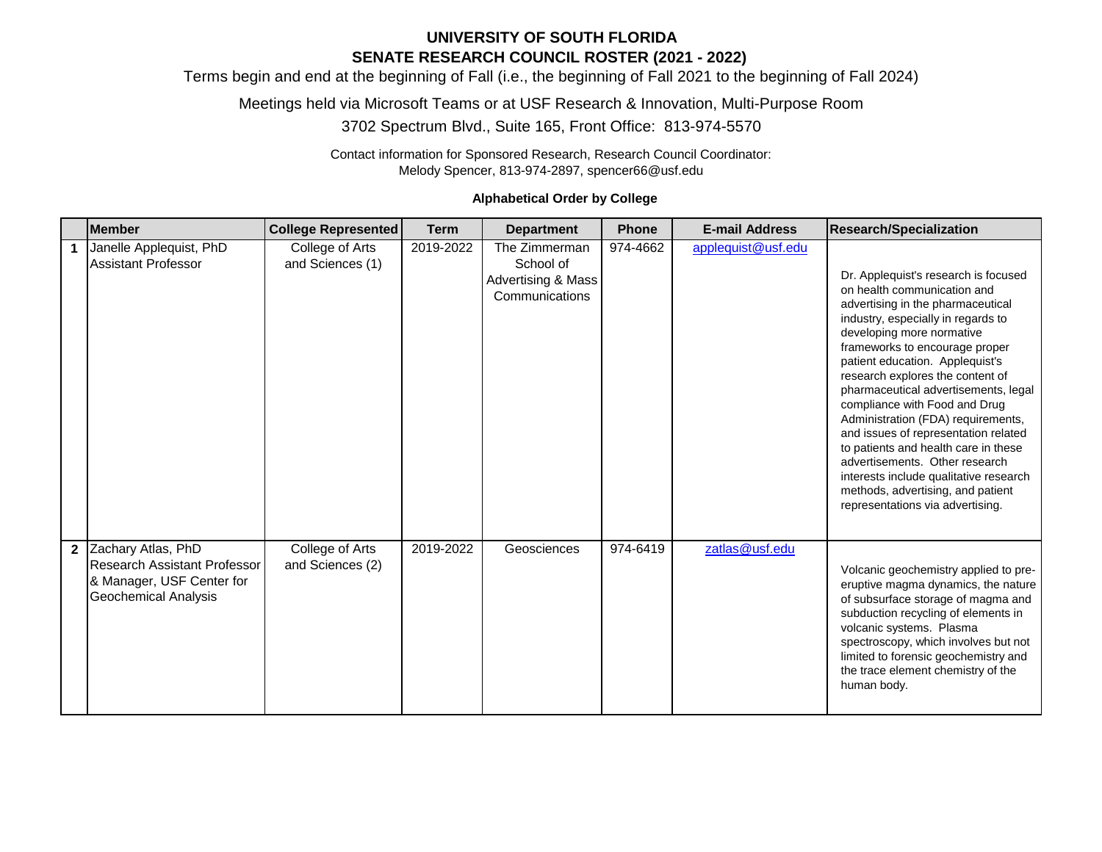## **UNIVERSITY OF SOUTH FLORIDA SENATE RESEARCH COUNCIL ROSTER (2021 - 2022)**

Terms begin and end at the beginning of Fall (i.e., the beginning of Fall 2021 to the beginning of Fall 2024)

Meetings held via Microsoft Teams or at USF Research & Innovation, Multi-Purpose Room

3702 Spectrum Blvd., Suite 165, Front Office: 813-974-5570

Contact information for Sponsored Research, Research Council Coordinator: Melody Spencer, 813-974-2897, spencer66@usf.edu

## **Alphabetical Order by College**

|              | <b>Member</b>                                                                                                         | <b>College Represented</b>          | <b>Term</b> | <b>Department</b>                                                             | <b>Phone</b> | <b>E-mail Address</b> | <b>Research/Specialization</b>                                                                                                                                                                                                                                                                                                                                                                                                                                                                                                                                                                                                           |
|--------------|-----------------------------------------------------------------------------------------------------------------------|-------------------------------------|-------------|-------------------------------------------------------------------------------|--------------|-----------------------|------------------------------------------------------------------------------------------------------------------------------------------------------------------------------------------------------------------------------------------------------------------------------------------------------------------------------------------------------------------------------------------------------------------------------------------------------------------------------------------------------------------------------------------------------------------------------------------------------------------------------------------|
|              | Janelle Applequist, PhD<br><b>Assistant Professor</b>                                                                 | College of Arts<br>and Sciences (1) | 2019-2022   | The Zimmerman<br>School of<br><b>Advertising &amp; Mass</b><br>Communications | 974-4662     | applequist@usf.edu    | Dr. Applequist's research is focused<br>on health communication and<br>advertising in the pharmaceutical<br>industry, especially in regards to<br>developing more normative<br>frameworks to encourage proper<br>patient education. Applequist's<br>research explores the content of<br>pharmaceutical advertisements, legal<br>compliance with Food and Drug<br>Administration (FDA) requirements,<br>and issues of representation related<br>to patients and health care in these<br>advertisements. Other research<br>interests include qualitative research<br>methods, advertising, and patient<br>representations via advertising. |
| $\mathbf{2}$ | Zachary Atlas, PhD<br><b>Research Assistant Professor</b><br>& Manager, USF Center for<br><b>Geochemical Analysis</b> | College of Arts<br>and Sciences (2) | 2019-2022   | Geosciences                                                                   | 974-6419     | zatlas@usf.edu        | Volcanic geochemistry applied to pre-<br>eruptive magma dynamics, the nature<br>of subsurface storage of magma and<br>subduction recycling of elements in<br>volcanic systems. Plasma<br>spectroscopy, which involves but not<br>limited to forensic geochemistry and<br>the trace element chemistry of the<br>human body.                                                                                                                                                                                                                                                                                                               |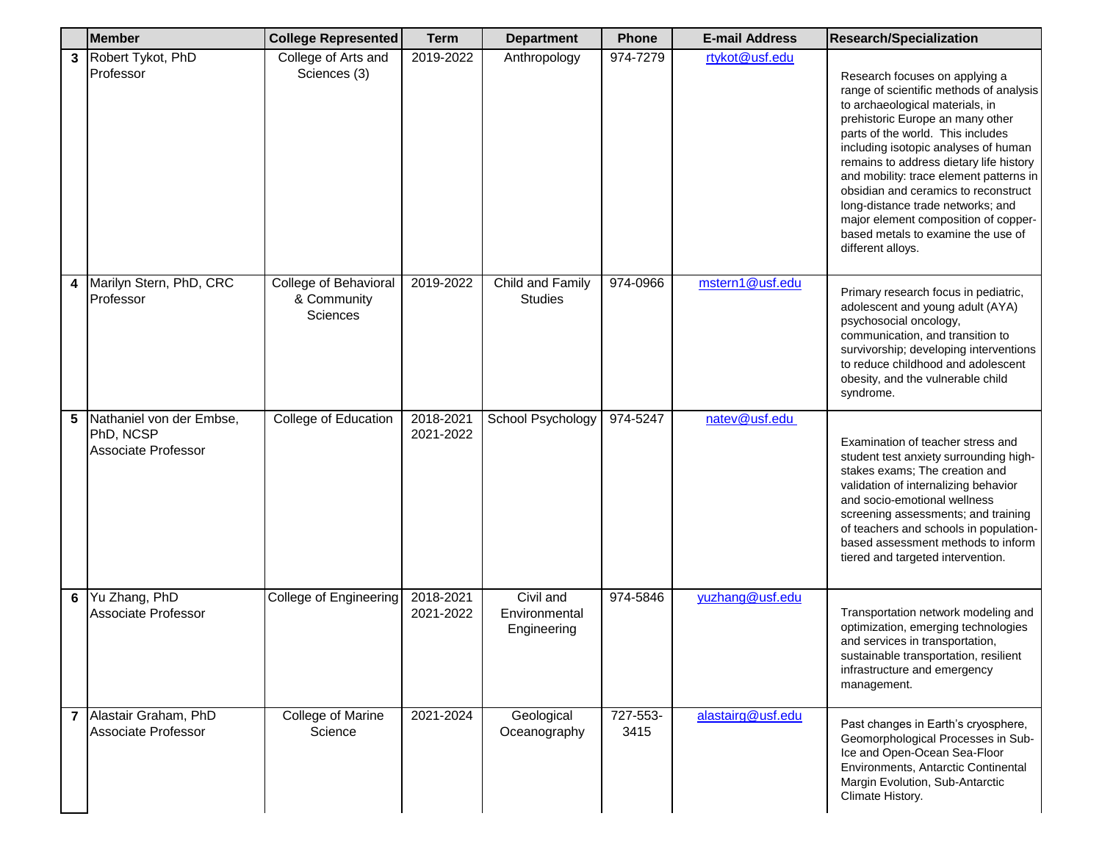|   | <b>Member</b>                                                  | <b>College Represented</b>                       | <b>Term</b>            | <b>Department</b>                         | <b>Phone</b>     | <b>E-mail Address</b> | <b>Research/Specialization</b>                                                                                                                                                                                                                                                                                                                                                                                                                                                                      |
|---|----------------------------------------------------------------|--------------------------------------------------|------------------------|-------------------------------------------|------------------|-----------------------|-----------------------------------------------------------------------------------------------------------------------------------------------------------------------------------------------------------------------------------------------------------------------------------------------------------------------------------------------------------------------------------------------------------------------------------------------------------------------------------------------------|
| 3 | Robert Tykot, PhD<br>Professor                                 | College of Arts and<br>Sciences (3)              | 2019-2022              | Anthropology                              | 974-7279         | rtykot@usf.edu        | Research focuses on applying a<br>range of scientific methods of analysis<br>to archaeological materials, in<br>prehistoric Europe an many other<br>parts of the world. This includes<br>including isotopic analyses of human<br>remains to address dietary life history<br>and mobility: trace element patterns in<br>obsidian and ceramics to reconstruct<br>long-distance trade networks; and<br>major element composition of copper-<br>based metals to examine the use of<br>different alloys. |
|   | 4 Marilyn Stern, PhD, CRC<br>Professor                         | College of Behavioral<br>& Community<br>Sciences | 2019-2022              | Child and Family<br><b>Studies</b>        | 974-0966         | mstern1@usf.edu       | Primary research focus in pediatric,<br>adolescent and young adult (AYA)<br>psychosocial oncology,<br>communication, and transition to<br>survivorship; developing interventions<br>to reduce childhood and adolescent<br>obesity, and the vulnerable child<br>syndrome.                                                                                                                                                                                                                            |
|   | 5 Nathaniel von der Embse,<br>PhD, NCSP<br>Associate Professor | College of Education                             | 2018-2021<br>2021-2022 | School Psychology                         | 974-5247         | natev@usf.edu         | Examination of teacher stress and<br>student test anxiety surrounding high-<br>stakes exams; The creation and<br>validation of internalizing behavior<br>and socio-emotional wellness<br>screening assessments; and training<br>of teachers and schools in population-<br>based assessment methods to inform<br>tiered and targeted intervention.                                                                                                                                                   |
| 6 | Yu Zhang, PhD<br><b>Associate Professor</b>                    | College of Engineering                           | 2018-2021<br>2021-2022 | Civil and<br>Environmental<br>Engineering | 974-5846         | yuzhang@usf.edu       | Transportation network modeling and<br>optimization, emerging technologies<br>and services in transportation,<br>sustainable transportation, resilient<br>infrastructure and emergency<br>management.                                                                                                                                                                                                                                                                                               |
|   | 7 Alastair Graham, PhD<br>Associate Professor                  | College of Marine<br>Science                     | 2021-2024              | Geological<br>Oceanography                | 727-553-<br>3415 | alastairg@usf.edu     | Past changes in Earth's cryosphere,<br>Geomorphological Processes in Sub-<br>Ice and Open-Ocean Sea-Floor<br>Environments, Antarctic Continental<br>Margin Evolution, Sub-Antarctic<br>Climate History.                                                                                                                                                                                                                                                                                             |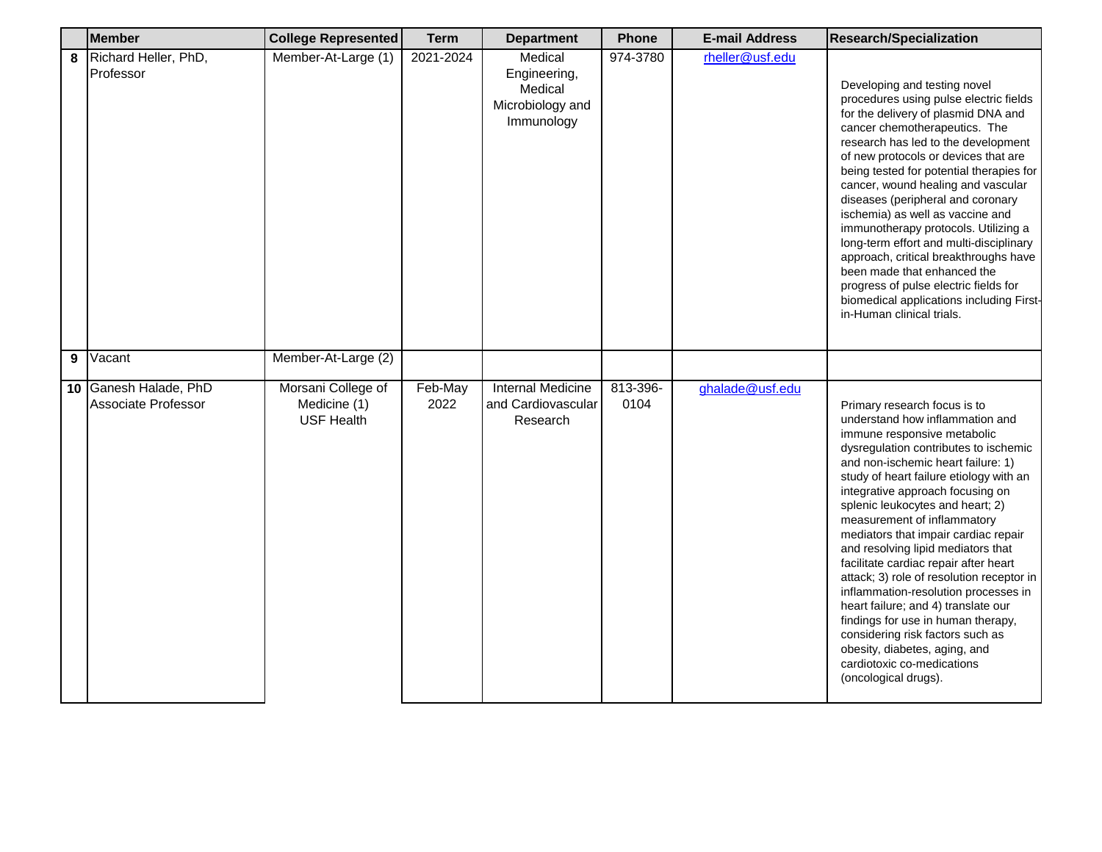|   | <b>Member</b>                                       | <b>College Represented</b>                              | <b>Term</b>     | <b>Department</b>                                                    | Phone            | <b>E-mail Address</b> | <b>Research/Specialization</b>                                                                                                                                                                                                                                                                                                                                                                                                                                                                                                                                                                                                                                                                                                                      |
|---|-----------------------------------------------------|---------------------------------------------------------|-----------------|----------------------------------------------------------------------|------------------|-----------------------|-----------------------------------------------------------------------------------------------------------------------------------------------------------------------------------------------------------------------------------------------------------------------------------------------------------------------------------------------------------------------------------------------------------------------------------------------------------------------------------------------------------------------------------------------------------------------------------------------------------------------------------------------------------------------------------------------------------------------------------------------------|
| 8 | Richard Heller, PhD,<br>Professor                   | Member-At-Large (1)                                     | 2021-2024       | Medical<br>Engineering,<br>Medical<br>Microbiology and<br>Immunology | 974-3780         | rheller@usf.edu       | Developing and testing novel<br>procedures using pulse electric fields<br>for the delivery of plasmid DNA and<br>cancer chemotherapeutics. The<br>research has led to the development<br>of new protocols or devices that are<br>being tested for potential therapies for<br>cancer, wound healing and vascular<br>diseases (peripheral and coronary<br>ischemia) as well as vaccine and<br>immunotherapy protocols. Utilizing a<br>long-term effort and multi-disciplinary<br>approach, critical breakthroughs have<br>been made that enhanced the<br>progress of pulse electric fields for<br>biomedical applications including First-<br>in-Human clinical trials.                                                                               |
| 9 | Vacant                                              | Member-At-Large (2)                                     |                 |                                                                      |                  |                       |                                                                                                                                                                                                                                                                                                                                                                                                                                                                                                                                                                                                                                                                                                                                                     |
|   | 10 Ganesh Halade, PhD<br><b>Associate Professor</b> | Morsani College of<br>Medicine (1)<br><b>USF Health</b> | Feb-May<br>2022 | <b>Internal Medicine</b><br>and Cardiovascular<br>Research           | 813-396-<br>0104 | ghalade@usf.edu       | Primary research focus is to<br>understand how inflammation and<br>immune responsive metabolic<br>dysregulation contributes to ischemic<br>and non-ischemic heart failure: 1)<br>study of heart failure etiology with an<br>integrative approach focusing on<br>splenic leukocytes and heart; 2)<br>measurement of inflammatory<br>mediators that impair cardiac repair<br>and resolving lipid mediators that<br>facilitate cardiac repair after heart<br>attack; 3) role of resolution receptor in<br>inflammation-resolution processes in<br>heart failure; and 4) translate our<br>findings for use in human therapy,<br>considering risk factors such as<br>obesity, diabetes, aging, and<br>cardiotoxic co-medications<br>(oncological drugs). |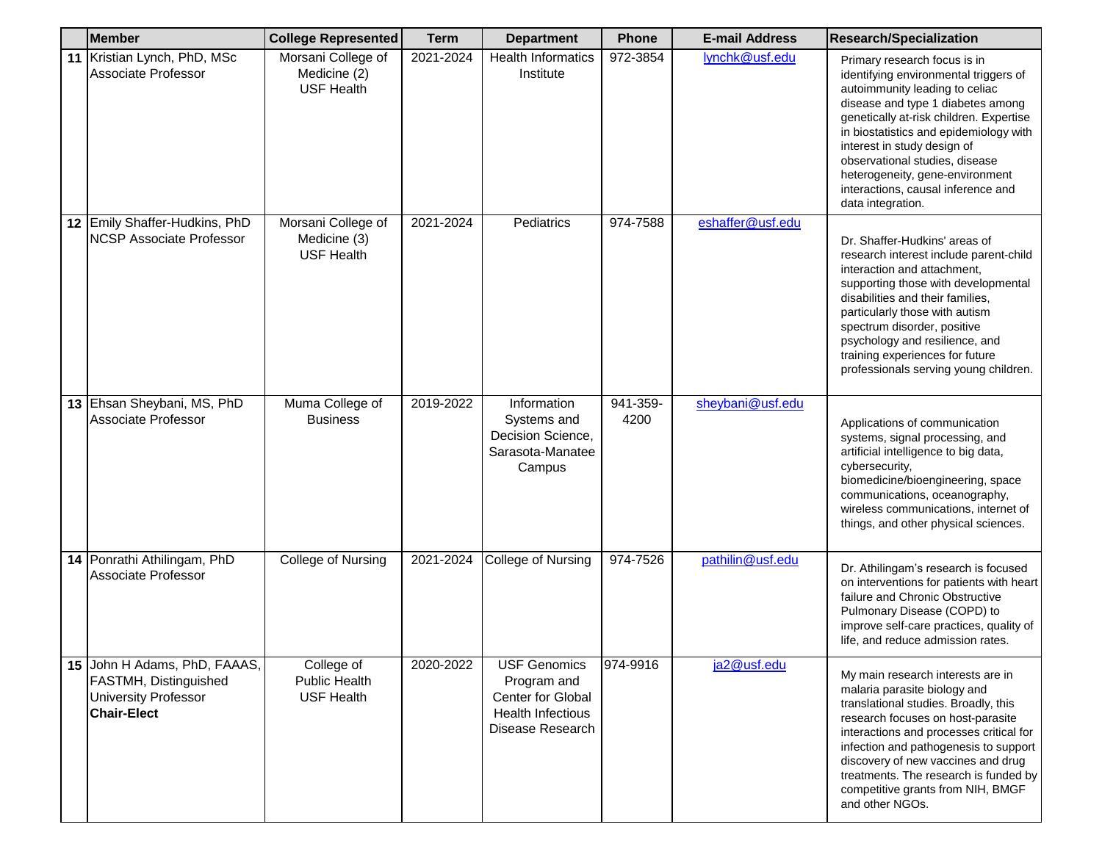|    | <b>Member</b>                                                                                           | <b>College Represented</b>                              | <b>Term</b> | <b>Department</b>                                                                                       | Phone            | <b>E-mail Address</b> | <b>Research/Specialization</b>                                                                                                                                                                                                                                                                                                                                                                   |
|----|---------------------------------------------------------------------------------------------------------|---------------------------------------------------------|-------------|---------------------------------------------------------------------------------------------------------|------------------|-----------------------|--------------------------------------------------------------------------------------------------------------------------------------------------------------------------------------------------------------------------------------------------------------------------------------------------------------------------------------------------------------------------------------------------|
|    | 11 Kristian Lynch, PhD, MSc<br>Associate Professor                                                      | Morsani College of<br>Medicine (2)<br><b>USF Health</b> | 2021-2024   | <b>Health Informatics</b><br>Institute                                                                  | 972-3854         | lynchk@usf.edu        | Primary research focus is in<br>identifying environmental triggers of<br>autoimmunity leading to celiac<br>disease and type 1 diabetes among<br>genetically at-risk children. Expertise<br>in biostatistics and epidemiology with<br>interest in study design of<br>observational studies, disease<br>heterogeneity, gene-environment<br>interactions, causal inference and<br>data integration. |
|    | 12 Emily Shaffer-Hudkins, PhD<br><b>NCSP Associate Professor</b>                                        | Morsani College of<br>Medicine (3)<br><b>USF Health</b> | 2021-2024   | Pediatrics                                                                                              | 974-7588         | eshaffer@usf.edu      | Dr. Shaffer-Hudkins' areas of<br>research interest include parent-child<br>interaction and attachment,<br>supporting those with developmental<br>disabilities and their families,<br>particularly those with autism<br>spectrum disorder, positive<br>psychology and resilience, and<br>training experiences for future<br>professionals serving young children.                                 |
|    | 13 Ehsan Sheybani, MS, PhD<br><b>Associate Professor</b>                                                | Muma College of<br><b>Business</b>                      | 2019-2022   | Information<br>Systems and<br>Decision Science,<br>Sarasota-Manatee<br>Campus                           | 941-359-<br>4200 | sheybani@usf.edu      | Applications of communication<br>systems, signal processing, and<br>artificial intelligence to big data,<br>cybersecurity,<br>biomedicine/bioengineering, space<br>communications, oceanography,<br>wireless communications, internet of<br>things, and other physical sciences.                                                                                                                 |
|    | 14 Ponrathi Athilingam, PhD<br>Associate Professor                                                      | <b>College of Nursing</b>                               | 2021-2024   | <b>College of Nursing</b>                                                                               | 974-7526         | pathilin@usf.edu      | Dr. Athilingam's research is focused<br>on interventions for patients with heart<br>failure and Chronic Obstructive<br>Pulmonary Disease (COPD) to<br>improve self-care practices, quality of<br>life, and reduce admission rates.                                                                                                                                                               |
| 15 | John H Adams, PhD, FAAAS,<br>FASTMH, Distinguished<br><b>University Professor</b><br><b>Chair-Elect</b> | College of<br><b>Public Health</b><br><b>USF Health</b> | 2020-2022   | <b>USF Genomics</b><br>Program and<br>Center for Global<br><b>Health Infectious</b><br>Disease Research | 974-9916         | ja2@usf.edu           | My main research interests are in<br>malaria parasite biology and<br>translational studies. Broadly, this<br>research focuses on host-parasite<br>interactions and processes critical for<br>infection and pathogenesis to support<br>discovery of new vaccines and drug<br>treatments. The research is funded by<br>competitive grants from NIH, BMGF<br>and other NGOs.                        |